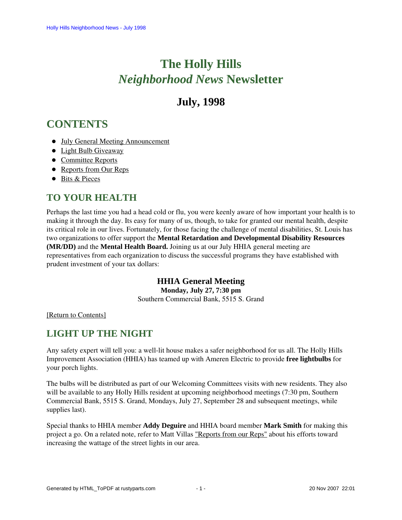# **The Holly Hills**  *Neighborhood News* **Newsletter**

## **July, 1998**

## <span id="page-0-2"></span>**CONTENTS**

- [July General Meeting Announcement](#page-0-0)
- [Light Bulb Giveaway](#page-0-1)
- [Committee Reports](#page-1-0)
- [Reports from Our Reps](#page-2-0)
- [Bits & Pieces](#page-4-0)

## <span id="page-0-0"></span>**TO YOUR HEALTH**

Perhaps the last time you had a head cold or flu, you were keenly aware of how important your health is to making it through the day. Its easy for many of us, though, to take for granted our mental health, despite its critical role in our lives. Fortunately, for those facing the challenge of mental disabilities, St. Louis has two organizations to offer support the **Mental Retardation and Developmental Disability Resources (MR/DD)** and the **Mental Health Board.** Joining us at our July HHIA general meeting are representatives from each organization to discuss the successful programs they have established with prudent investment of your tax dollars:

### **HHIA General Meeting**

**Monday, July 27, 7:30 pm**

Southern Commercial Bank, 5515 S. Grand

<span id="page-0-1"></span>[\[Return to Contents\]](#page-0-2)

## **LIGHT UP THE NIGHT**

Any safety expert will tell you: a well-lit house makes a safer neighborhood for us all. The Holly Hills Improvement Association (HHIA) has teamed up with Ameren Electric to provide **free lightbulbs** for your porch lights.

The bulbs will be distributed as part of our Welcoming Committees visits with new residents. They also will be available to any Holly Hills resident at upcoming neighborhood meetings (7:30 pm, Southern Commercial Bank, 5515 S. Grand, Mondays, July 27, September 28 and subsequent meetings, while supplies last).

Special thanks to HHIA member **Addy Deguire** and HHIA board member **Mark Smith** for making this project a go. On a related note, refer to Matt Villas ["Reports from our Reps"](#page-3-0) about his efforts toward increasing the wattage of the street lights in our area.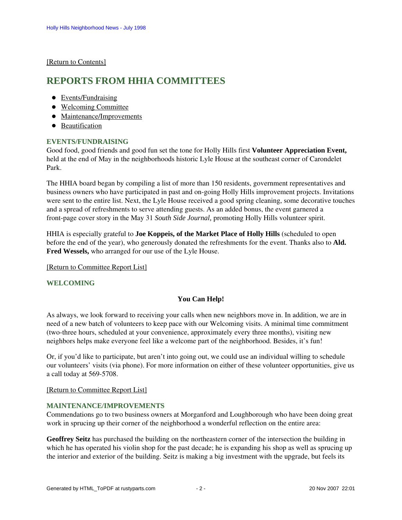<span id="page-1-0"></span>[\[Return to Contents\]](#page-0-2)

### <span id="page-1-4"></span>**REPORTS FROM HHIA COMMITTEES**

- [Events/Fundraising](#page-1-1)
- [Welcoming Committee](#page-1-2)
- [Maintenance/Improvements](#page-1-3)
- [Beautification](#page-2-1)

#### <span id="page-1-1"></span>**EVENTS/FUNDRAISING**

Good food, good friends and good fun set the tone for Holly Hills first **Volunteer Appreciation Event,** held at the end of May in the neighborhoods historic Lyle House at the southeast corner of Carondelet Park.

The HHIA board began by compiling a list of more than 150 residents, government representatives and business owners who have participated in past and on-going Holly Hills improvement projects. Invitations were sent to the entire list. Next, the Lyle House received a good spring cleaning, some decorative touches and a spread of refreshments to serve attending guests. As an added bonus, the event garnered a front-page cover story in the May 31 *South Side Journal,* promoting Holly Hills volunteer spirit.

HHIA is especially grateful to **Joe Koppeis, of the Market Place of Holly Hills** (scheduled to open before the end of the year), who generously donated the refreshments for the event. Thanks also to **Ald. Fred Wessels,** who arranged for our use of the Lyle House.

[\[Return to Committee Report List\]](#page-1-4)

#### <span id="page-1-2"></span>**WELCOMING**

#### **You Can Help!**

As always, we look forward to receiving your calls when new neighbors move in. In addition, we are in need of a new batch of volunteers to keep pace with our Welcoming visits. A minimal time commitment (two-three hours, scheduled at your convenience, approximately every three months), visiting new neighbors helps make everyone feel like a welcome part of the neighborhood. Besides, it's fun!

Or, if you'd like to participate, but aren't into going out, we could use an individual willing to schedule our volunteers' visits (via phone). For more information on either of these volunteer opportunities, give us a call today at 569-5708.

[\[Return to Committee Report List\]](#page-1-4)

#### <span id="page-1-3"></span>**MAINTENANCE/IMPROVEMENTS**

Commendations go to two business owners at Morganford and Loughborough who have been doing great work in sprucing up their corner of the neighborhood a wonderful reflection on the entire area:

**Geoffrey Seitz** has purchased the building on the northeastern corner of the intersection the building in which he has operated his violin shop for the past decade; he is expanding his shop as well as sprucing up the interior and exterior of the building. Seitz is making a big investment with the upgrade, but feels its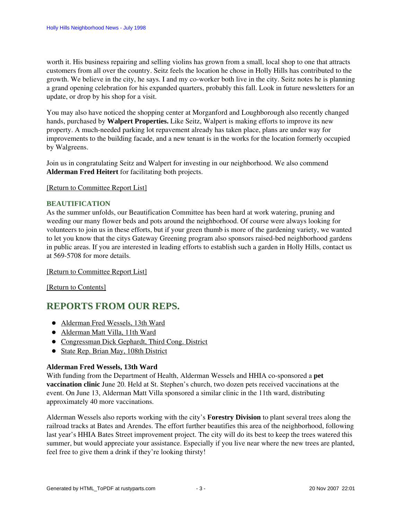worth it. His business repairing and selling violins has grown from a small, local shop to one that attracts customers from all over the country. Seitz feels the location he chose in Holly Hills has contributed to the growth. We believe in the city, he says. I and my co-worker both live in the city. Seitz notes he is planning a grand opening celebration for his expanded quarters, probably this fall. Look in future newsletters for an update, or drop by his shop for a visit.

You may also have noticed the shopping center at Morganford and Loughborough also recently changed hands, purchased by **Walpert Properties.** Like Seitz, Walpert is making efforts to improve its new property. A much-needed parking lot repavement already has taken place, plans are under way for improvements to the building facade, and a new tenant is in the works for the location formerly occupied by Walgreens.

Join us in congratulating Seitz and Walpert for investing in our neighborhood. We also commend **Alderman Fred Heitert** for facilitating both projects.

[\[Return to Committee Report List\]](#page-1-4)

#### <span id="page-2-1"></span>**BEAUTIFICATION**

As the summer unfolds, our Beautification Committee has been hard at work watering, pruning and weeding our many flower beds and pots around the neighborhood. Of course were always looking for volunteers to join us in these efforts, but if your green thumb is more of the gardening variety, we wanted to let you know that the citys Gateway Greening program also sponsors raised-bed neighborhood gardens in public areas. If you are interested in leading efforts to establish such a garden in Holly Hills, contact us at 569-5708 for more details.

#### [\[Return to Committee Report List\]](#page-1-4)

[\[Return to Contents\]](#page-0-2)

## <span id="page-2-3"></span><span id="page-2-0"></span>**REPORTS FROM OUR REPS.**

- [Alderman Fred Wessels, 13th Ward](#page-2-2)
- [Alderman Matt Villa, 11th Ward](#page-3-0)
- [Congressman Dick Gephardt, Third Cong. District](#page-3-1)
- [State Rep. Brian May, 108th District](#page-4-1)

#### <span id="page-2-2"></span>**Alderman Fred Wessels, 13th Ward**

With funding from the Department of Health, Alderman Wessels and HHIA co-sponsored a **pet vaccination clinic** June 20. Held at St. Stephen's church, two dozen pets received vaccinations at the event. On June 13, Alderman Matt Villa sponsored a similar clinic in the 11th ward, distributing approximately 40 more vaccinations.

Alderman Wessels also reports working with the city's **Forestry Division** to plant several trees along the railroad tracks at Bates and Arendes. The effort further beautifies this area of the neighborhood, following last year's HHIA Bates Street improvement project. The city will do its best to keep the trees watered this summer, but would appreciate your assistance. Especially if you live near where the new trees are planted, feel free to give them a drink if they're looking thirsty!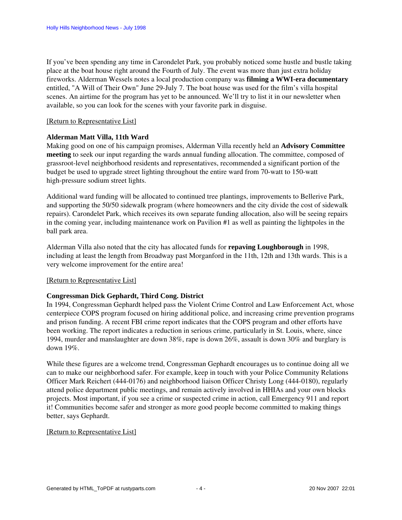If you've been spending any time in Carondelet Park, you probably noticed some hustle and bustle taking place at the boat house right around the Fourth of July. The event was more than just extra holiday fireworks. Alderman Wessels notes a local production company was **filming a WWI-era documentary** entitled, "A Will of Their Own" June 29-July 7. The boat house was used for the film's villa hospital scenes. An airtime for the program has yet to be announced. We'll try to list it in our newsletter when available, so you can look for the scenes with your favorite park in disguise.

#### [\[Return to Representative List\]](#page-2-3)

#### <span id="page-3-0"></span>**Alderman Matt Villa, 11th Ward**

Making good on one of his campaign promises, Alderman Villa recently held an **Advisory Committee meeting** to seek our input regarding the wards annual funding allocation. The committee, composed of grassroot-level neighborhood residents and representatives, recommended a significant portion of the budget be used to upgrade street lighting throughout the entire ward from 70-watt to 150-watt high-pressure sodium street lights.

Additional ward funding will be allocated to continued tree plantings, improvements to Bellerive Park, and supporting the 50/50 sidewalk program (where homeowners and the city divide the cost of sidewalk repairs). Carondelet Park, which receives its own separate funding allocation, also will be seeing repairs in the coming year, including maintenance work on Pavilion #1 as well as painting the lightpoles in the ball park area.

Alderman Villa also noted that the city has allocated funds for **repaving Loughborough** in 1998, including at least the length from Broadway past Morganford in the 11th, 12th and 13th wards. This is a very welcome improvement for the entire area!

#### [\[Return to Representative List\]](#page-2-3)

#### <span id="page-3-1"></span>**Congressman Dick Gephardt, Third Cong. District**

In 1994, Congressman Gephardt helped pass the Violent Crime Control and Law Enforcement Act, whose centerpiece COPS program focused on hiring additional police, and increasing crime prevention programs and prison funding. A recent FBI crime report indicates that the COPS program and other efforts have been working. The report indicates a reduction in serious crime, particularly in St. Louis, where, since 1994, murder and manslaughter are down 38%, rape is down 26%, assault is down 30% and burglary is down 19%.

While these figures are a welcome trend, Congressman Gephardt encourages us to continue doing all we can to make our neighborhood safer. For example, keep in touch with your Police Community Relations Officer Mark Reichert (444-0176) and neighborhood liaison Officer Christy Long (444-0180), regularly attend police department public meetings, and remain actively involved in HHIAs and your own blocks projects. Most important, if you see a crime or suspected crime in action, call Emergency 911 and report it! Communities become safer and stronger as more good people become committed to making things better, says Gephardt.

#### [\[Return to Representative List\]](#page-2-3)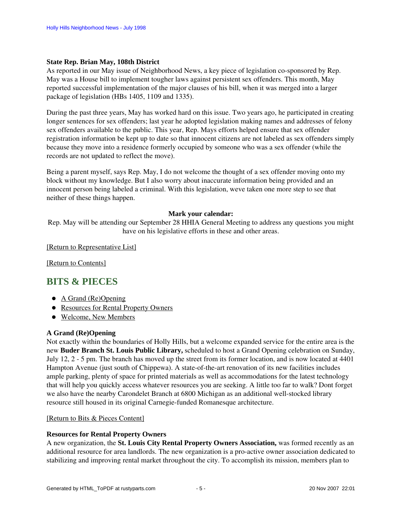#### <span id="page-4-1"></span>**State Rep. Brian May, 108th District**

As reported in our May issue of Neighborhood News, a key piece of legislation co-sponsored by Rep. May was a House bill to implement tougher laws against persistent sex offenders. This month, May reported successful implementation of the major clauses of his bill, when it was merged into a larger package of legislation (HBs 1405, 1109 and 1335).

During the past three years, May has worked hard on this issue. Two years ago, he participated in creating longer sentences for sex offenders; last year he adopted legislation making names and addresses of felony sex offenders available to the public. This year, Rep. Mays efforts helped ensure that sex offender registration information be kept up to date so that innocent citizens are not labeled as sex offenders simply because they move into a residence formerly occupied by someone who was a sex offender (while the records are not updated to reflect the move).

Being a parent myself, says Rep. May, I do not welcome the thought of a sex offender moving onto my block without my knowledge. But I also worry about inaccurate information being provided and an innocent person being labeled a criminal. With this legislation, weve taken one more step to see that neither of these things happen.

#### **Mark your calendar:**

Rep. May will be attending our September 28 HHIA General Meeting to address any questions you might have on his legislative efforts in these and other areas.

[\[Return to Representative List\]](#page-2-3)

[\[Return to Contents\]](#page-0-2)

### <span id="page-4-4"></span><span id="page-4-0"></span>**BITS & PIECES**

- [A Grand \(Re\)Opening](#page-4-2)
- [Resources for Rental Property Owners](#page-4-3)
- [Welcome, New Members](#page-5-0)

#### <span id="page-4-2"></span>**A Grand (Re)Opening**

Not exactly within the boundaries of Holly Hills, but a welcome expanded service for the entire area is the new **Buder Branch St. Louis Public Library,** scheduled to host a Grand Opening celebration on Sunday, July 12, 2 - 5 pm. The branch has moved up the street from its former location, and is now located at 4401 Hampton Avenue (just south of Chippewa). A state-of-the-art renovation of its new facilities includes ample parking, plenty of space for printed materials as well as accommodations for the latest technology that will help you quickly access whatever resources you are seeking. A little too far to walk? Dont forget we also have the nearby Carondelet Branch at 6800 Michigan as an additional well-stocked library resource still housed in its original Carnegie-funded Romanesque architecture.

#### [\[Return to Bits & Pieces Content\]](#page-4-4)

#### <span id="page-4-3"></span>**Resources for Rental Property Owners**

A new organization, the **St. Louis City Rental Property Owners Association,** was formed recently as an additional resource for area landlords. The new organization is a pro-active owner association dedicated to stabilizing and improving rental market throughout the city. To accomplish its mission, members plan to